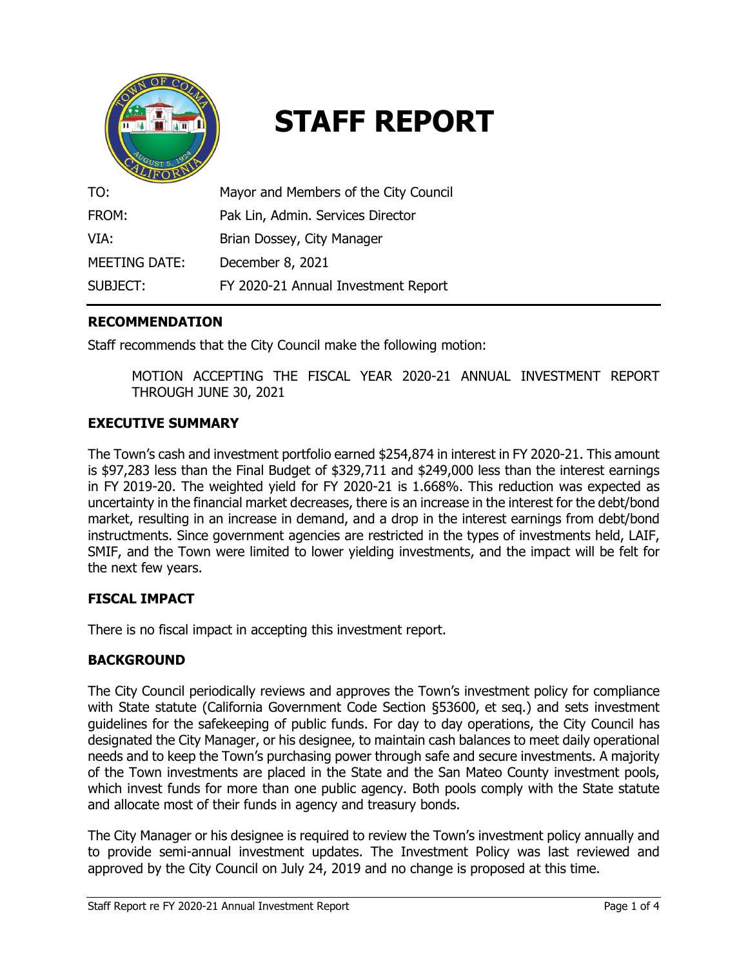

# **STAFF REPORT**

| TO:           | Mayor and Members of the City Council |
|---------------|---------------------------------------|
| FROM:         | Pak Lin, Admin. Services Director     |
| VIA:          | Brian Dossey, City Manager            |
| MEETING DATE: | December 8, 2021                      |
| SUBJECT:      | FY 2020-21 Annual Investment Report   |

## **RECOMMENDATION**

Staff recommends that the City Council make the following motion:

MOTION ACCEPTING THE FISCAL YEAR 2020-21 ANNUAL INVESTMENT REPORT THROUGH JUNE 30, 2021

## **EXECUTIVE SUMMARY**

The Town's cash and investment portfolio earned \$254,874 in interest in FY 2020-21. This amount is \$97,283 less than the Final Budget of \$329,711 and \$249,000 less than the interest earnings in FY 2019-20. The weighted yield for FY 2020-21 is 1.668%. This reduction was expected as uncertainty in the financial market decreases, there is an increase in the interest for the debt/bond market, resulting in an increase in demand, and a drop in the interest earnings from debt/bond instructments. Since government agencies are restricted in the types of investments held, LAIF, SMIF, and the Town were limited to lower yielding investments, and the impact will be felt for the next few years.

## **FISCAL IMPACT**

There is no fiscal impact in accepting this investment report.

## **BACKGROUND**

The City Council periodically reviews and approves the Town's investment policy for compliance with State statute (California Government Code Section §53600, et seq.) and sets investment guidelines for the safekeeping of public funds. For day to day operations, the City Council has designated the City Manager, or his designee, to maintain cash balances to meet daily operational needs and to keep the Town's purchasing power through safe and secure investments. A majority of the Town investments are placed in the State and the San Mateo County investment pools, which invest funds for more than one public agency. Both pools comply with the State statute and allocate most of their funds in agency and treasury bonds.

The City Manager or his designee is required to review the Town's investment policy annually and to provide semi-annual investment updates. The Investment Policy was last reviewed and approved by the City Council on July 24, 2019 and no change is proposed at this time.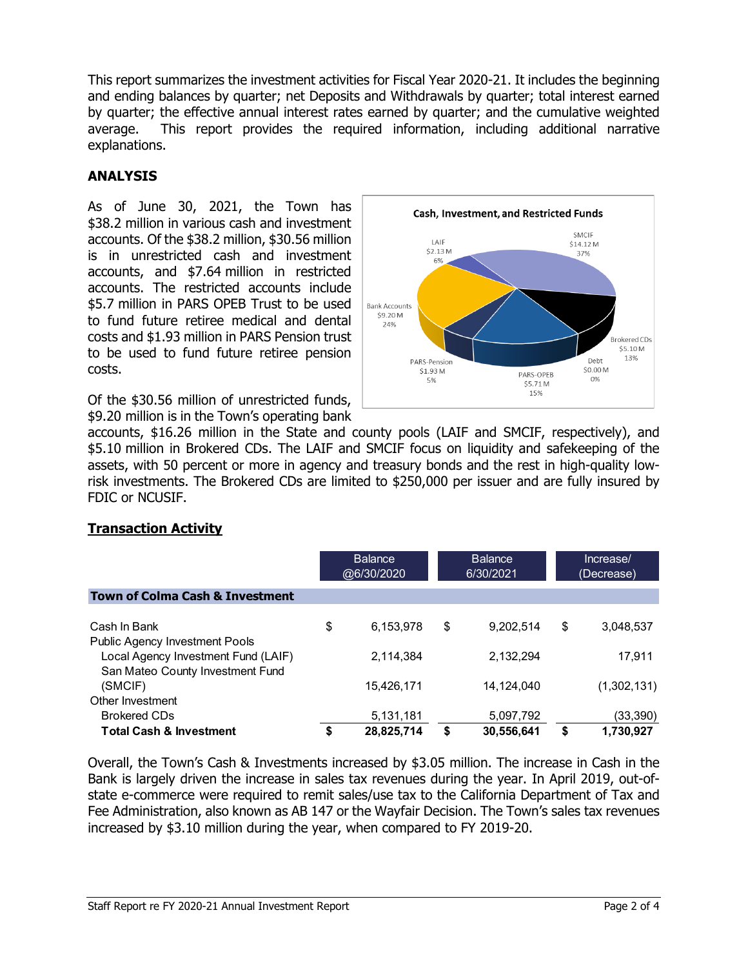This report summarizes the investment activities for Fiscal Year 2020-21. It includes the beginning and ending balances by quarter; net Deposits and Withdrawals by quarter; total interest earned by quarter; the effective annual interest rates earned by quarter; and the cumulative weighted average. This report provides the required information, including additional narrative explanations.

## **ANALYSIS**

As of June 30, 2021, the Town has \$38.2 million in various cash and investment accounts. Of the \$38.2 million, \$30.56 million is in unrestricted cash and investment accounts, and \$7.64 million in restricted accounts. The restricted accounts include \$5.7 million in PARS OPEB Trust to be used to fund future retiree medical and dental costs and \$1.93 million in PARS Pension trust to be used to fund future retiree pension costs.

Of the \$30.56 million of unrestricted funds, \$9.20 million is in the Town's operating bank



accounts, \$16.26 million in the State and county pools (LAIF and SMCIF, respectively), and \$5.10 million in Brokered CDs. The LAIF and SMCIF focus on liquidity and safekeeping of the assets, with 50 percent or more in agency and treasury bonds and the rest in high-quality lowrisk investments. The Brokered CDs are limited to \$250,000 per issuer and are fully insured by FDIC or NCUSIF.

## **Transaction Activity**

|                                                                         | <b>Balance</b><br>@6/30/2020 |            | <b>Balance</b><br>6/30/2021 |            | Increase/<br>(Decrease) |
|-------------------------------------------------------------------------|------------------------------|------------|-----------------------------|------------|-------------------------|
| <b>Town of Colma Cash &amp; Investment</b>                              |                              |            |                             |            |                         |
| Cash In Bank<br>Public Agency Investment Pools                          | \$                           | 6,153,978  | \$                          | 9,202,514  | \$<br>3,048,537         |
| Local Agency Investment Fund (LAIF)<br>San Mateo County Investment Fund |                              | 2.114.384  |                             | 2,132,294  | 17,911                  |
| (SMCIF)                                                                 |                              | 15,426,171 |                             | 14,124,040 | (1,302,131)             |
| Other Investment                                                        |                              |            |                             |            |                         |
| <b>Brokered CDs</b>                                                     |                              | 5,131,181  |                             | 5,097,792  | (33,390)                |
| <b>Total Cash &amp; Investment</b>                                      | \$                           | 28,825,714 | \$                          | 30,556,641 | \$<br>1,730,927         |

Overall, the Town's Cash & Investments increased by \$3.05 million. The increase in Cash in the Bank is largely driven the increase in sales tax revenues during the year. In April 2019, out-ofstate e-commerce were required to remit sales/use tax to the California Department of Tax and Fee Administration, also known as AB 147 or the Wayfair Decision. The Town's sales tax revenues increased by \$3.10 million during the year, when compared to FY 2019-20.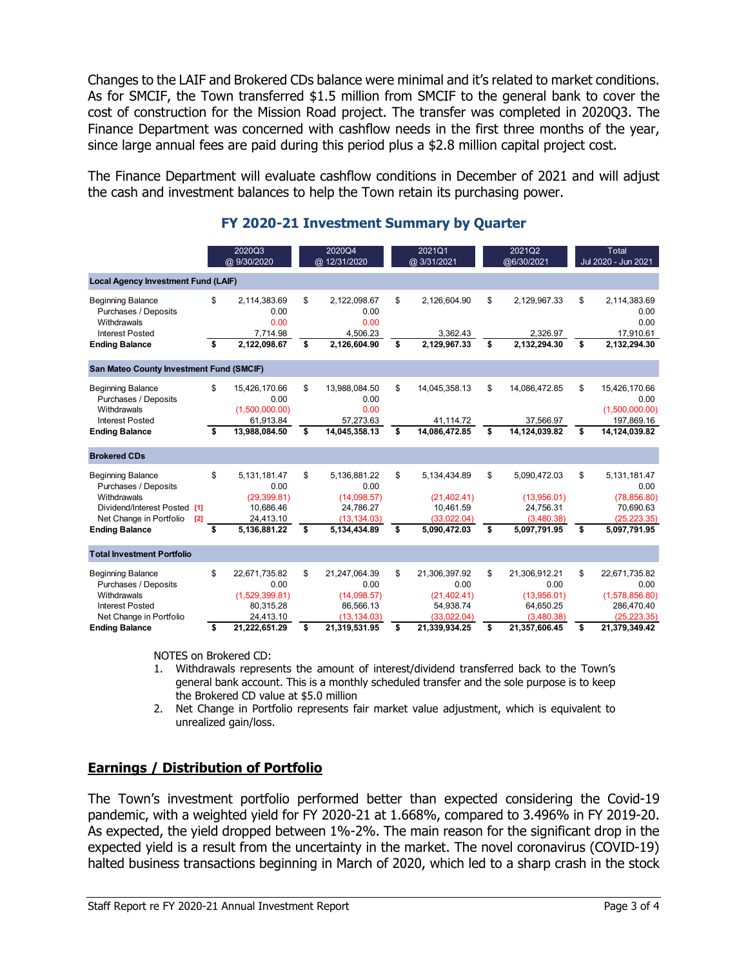Changes to the LAIF and Brokered CDs balance were minimal and it's related to market conditions. As for SMCIF, the Town transferred \$1.5 million from SMCIF to the general bank to cover the cost of construction for the Mission Road project. The transfer was completed in 2020Q3. The Finance Department was concerned with cashflow needs in the first three months of the year, since large annual fees are paid during this period plus a \$2.8 million capital project cost.

The Finance Department will evaluate cashflow conditions in December of 2021 and will adjust the cash and investment balances to help the Town retain its purchasing power.

|                                                                                                                                                            | 2020Q3<br>@ 9/30/2020 |                                                                                | 2020Q4<br>@ 12/31/2020 |                                                                                  | 2021Q1<br>@ 3/31/2021 |                                                                          | 2021Q2<br>@6/30/2021 |                                                                        | Total<br>Jul 2020 - Jun 2021 |                                                                                   |
|------------------------------------------------------------------------------------------------------------------------------------------------------------|-----------------------|--------------------------------------------------------------------------------|------------------------|----------------------------------------------------------------------------------|-----------------------|--------------------------------------------------------------------------|----------------------|------------------------------------------------------------------------|------------------------------|-----------------------------------------------------------------------------------|
| <b>Local Agency Investment Fund (LAIF)</b>                                                                                                                 |                       |                                                                                |                        |                                                                                  |                       |                                                                          |                      |                                                                        |                              |                                                                                   |
| <b>Beginning Balance</b><br>Purchases / Deposits<br>Withdrawals                                                                                            | \$                    | 2,114,383.69<br>0.00<br>0.00                                                   | \$                     | 2,122,098.67<br>0.00<br>0.00                                                     | \$                    | 2,126,604.90                                                             | \$                   | 2,129,967.33                                                           | \$                           | 2,114,383.69<br>0.00<br>0.00                                                      |
| <b>Interest Posted</b><br><b>Ending Balance</b>                                                                                                            | \$                    | 7,714.98<br>2,122,098.67                                                       | \$                     | 4,506.23<br>2,126,604.90                                                         | \$                    | 3,362.43<br>2,129,967.33                                                 | \$                   | 2,326.97<br>2,132,294.30                                               | \$                           | 17,910.61<br>2,132,294.30                                                         |
| San Mateo County Investment Fund (SMCIF)                                                                                                                   |                       |                                                                                |                        |                                                                                  |                       |                                                                          |                      |                                                                        |                              |                                                                                   |
| <b>Beginning Balance</b><br>Purchases / Deposits<br>Withdrawals                                                                                            | \$                    | 15,426,170.66<br>0.00<br>(1.500.000.00)                                        | \$                     | 13,988,084.50<br>0.00<br>0.00                                                    | \$                    | 14,045,358.13                                                            | \$                   | 14,086,472.85                                                          | \$                           | 15,426,170.66<br>0.00<br>(1,500,000.00)                                           |
| <b>Interest Posted</b><br><b>Ending Balance</b>                                                                                                            | \$                    | 61,913.84<br>13,988,084.50                                                     | \$                     | 57,273.63<br>14,045,358.13                                                       | \$                    | 41,114.72<br>14,086,472.85                                               | \$                   | 37,566.97<br>14,124,039.82                                             | \$                           | 197,869.16<br>14,124,039.82                                                       |
| <b>Brokered CDs</b>                                                                                                                                        |                       |                                                                                |                        |                                                                                  |                       |                                                                          |                      |                                                                        |                              |                                                                                   |
| <b>Beginning Balance</b><br>Purchases / Deposits<br>Withdrawals<br>Dividend/Interest Posted [1]<br>Net Change in Portfolio<br>[2]<br><b>Ending Balance</b> | \$<br>\$              | 5.131.181.47<br>0.00<br>(29, 399.81)<br>10,686.46<br>24,413.10<br>5,136,881.22 | \$<br>\$               | 5.136.881.22<br>0.00<br>(14,098.57)<br>24,786.27<br>(13, 134.03)<br>5,134,434.89 | \$<br>\$              | 5,134,434.89<br>(21, 402.41)<br>10,461.59<br>(33,022.04)<br>5,090,472.03 | \$<br>\$             | 5,090,472.03<br>(13,956.01)<br>24,756.31<br>(3,480.38)<br>5,097,791.95 | \$<br>\$                     | 5,131,181.47<br>0.00<br>(78, 856.80)<br>70,690.63<br>(25, 223.35)<br>5,097,791.95 |
| <b>Total Investment Portfolio</b>                                                                                                                          |                       |                                                                                |                        |                                                                                  |                       |                                                                          |                      |                                                                        |                              |                                                                                   |
| <b>Beginning Balance</b><br>Purchases / Deposits<br>Withdrawals<br><b>Interest Posted</b><br>Net Change in Portfolio                                       | \$                    | 22,671,735.82<br>0.00<br>(1,529,399.81)<br>80,315.28<br>24,413.10              | \$                     | 21,247,064.39<br>0.00<br>(14,098.57)<br>86,566.13<br>(13, 134.03)                | \$                    | 21,306,397.92<br>0.00<br>(21, 402.41)<br>54,938.74<br>(33,022.04)        | \$                   | 21,306,912.21<br>0.00<br>(13,956.01)<br>64,650.25<br>(3,480.38)        | \$                           | 22,671,735.82<br>0.00<br>(1,578,856.80)<br>286,470.40<br>(25, 223.35)             |
| <b>Ending Balance</b>                                                                                                                                      | \$                    | 21,222,651.29                                                                  | \$                     | 21,319,531.95                                                                    | \$                    | 21,339,934.25                                                            | \$                   | 21,357,606.45                                                          | \$                           | 21,379,349.42                                                                     |

## **FY 2020-21 Investment Summary by Quarter**

NOTES on Brokered CD:

- 1. Withdrawals represents the amount of interest/dividend transferred back to the Town's general bank account. This is a monthly scheduled transfer and the sole purpose is to keep the Brokered CD value at \$5.0 million
- 2. Net Change in Portfolio represents fair market value adjustment, which is equivalent to unrealized gain/loss.

# **Earnings / Distribution of Portfolio**

The Town's investment portfolio performed better than expected considering the Covid-19 pandemic, with a weighted yield for FY 2020-21 at 1.668%, compared to 3.496% in FY 2019-20. As expected, the yield dropped between 1%-2%. The main reason for the significant drop in the expected yield is a result from the uncertainty in the market. The novel coronavirus (COVID-19) halted business transactions beginning in March of 2020, which led to a sharp crash in the stock